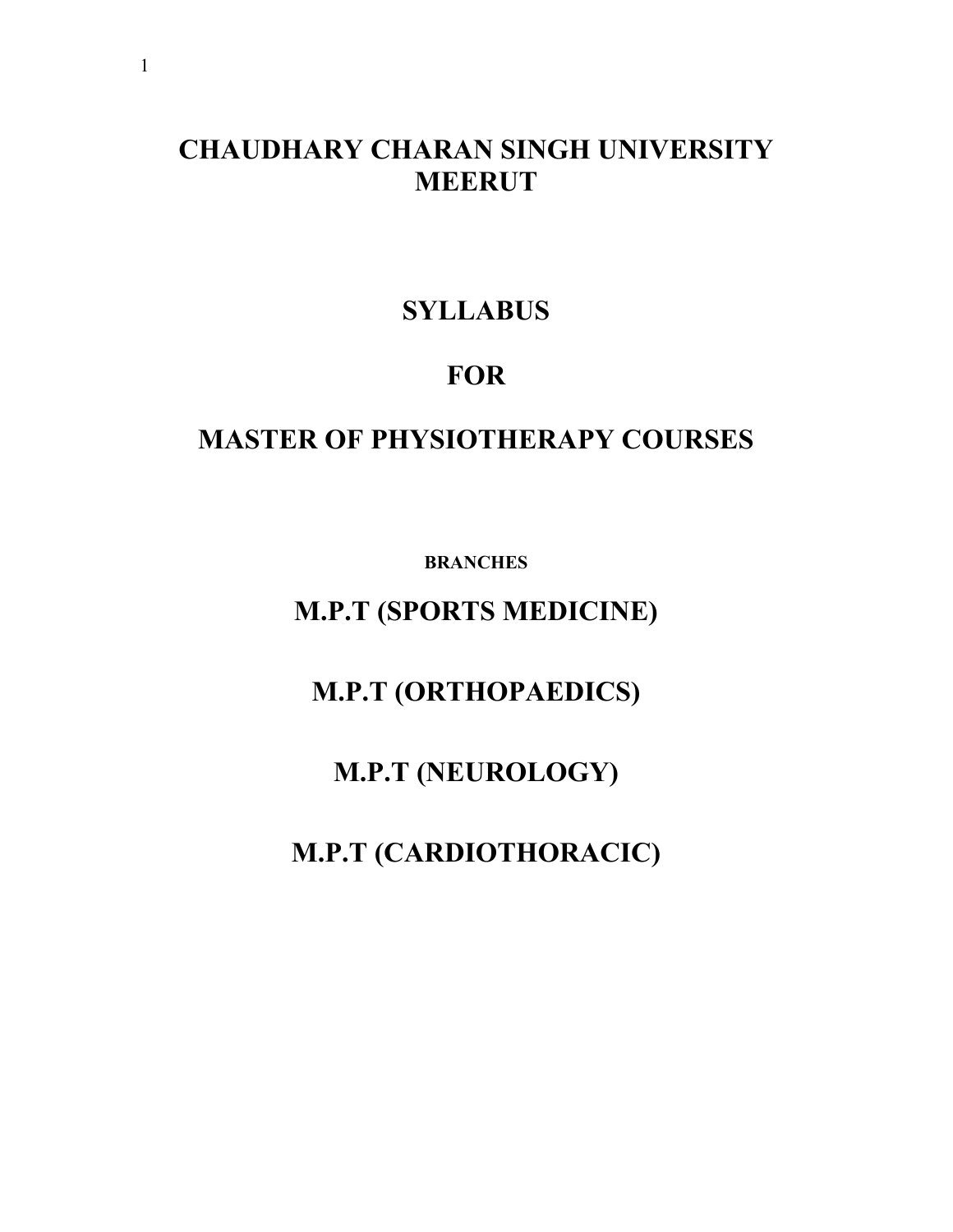## **CHAUDHARY CHARAN SINGH UNIVERSITY MEERUT**

## **SYLLABUS**

## **FOR**

## **MASTER OF PHYSIOTHERAPY COURSES**

**BRANCHES**

**M.P.T (SPORTS MEDICINE)**

**M.P.T (ORTHOPAEDICS)**

**M.P.T (NEUROLOGY)**

**M.P.T (CARDIOTHORACIC)**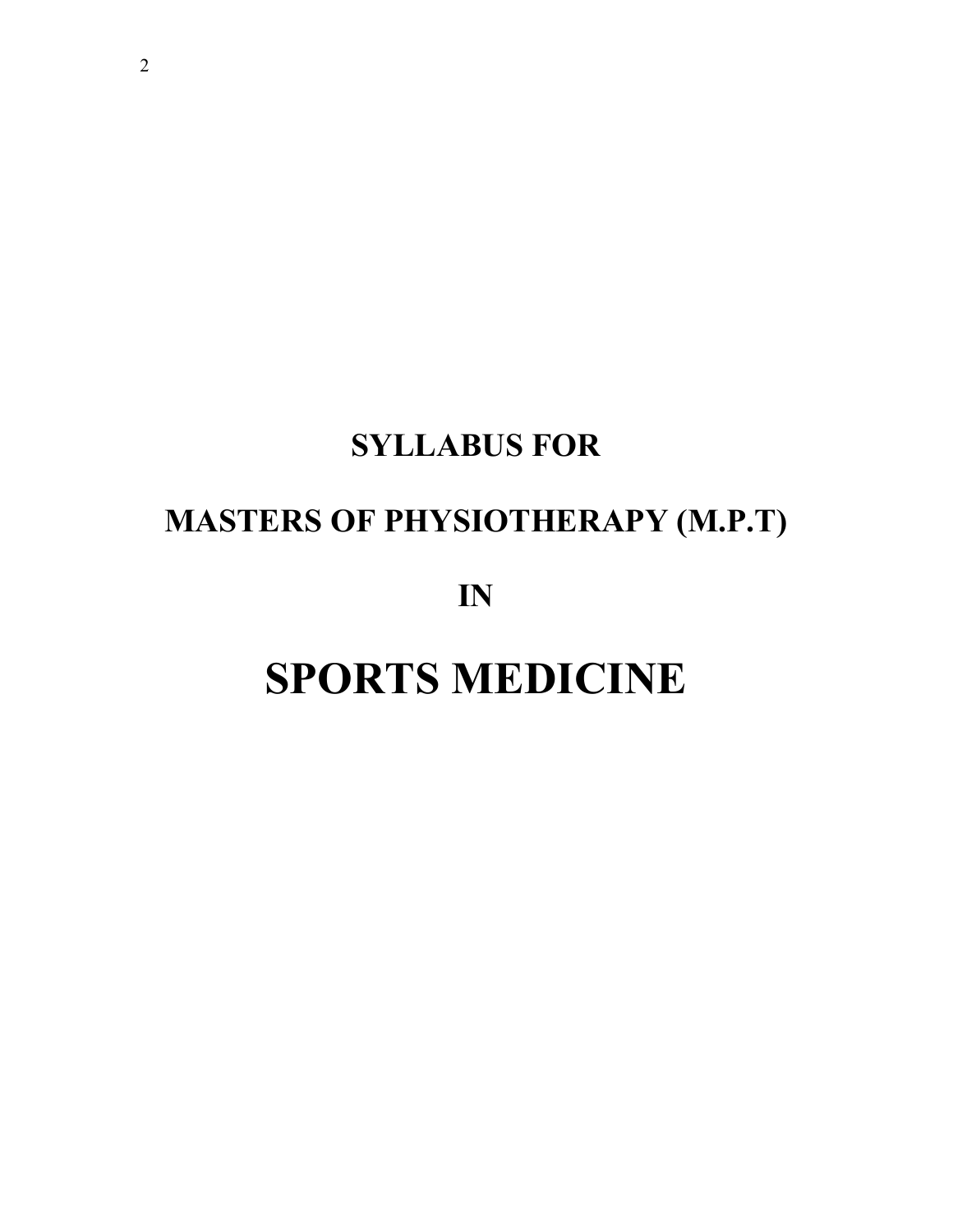# **SYLLABUS FOR**

## **MASTERS OF PHYSIOTHERAPY (M.P.T)**

**IN**

# **SPORTS MEDICINE**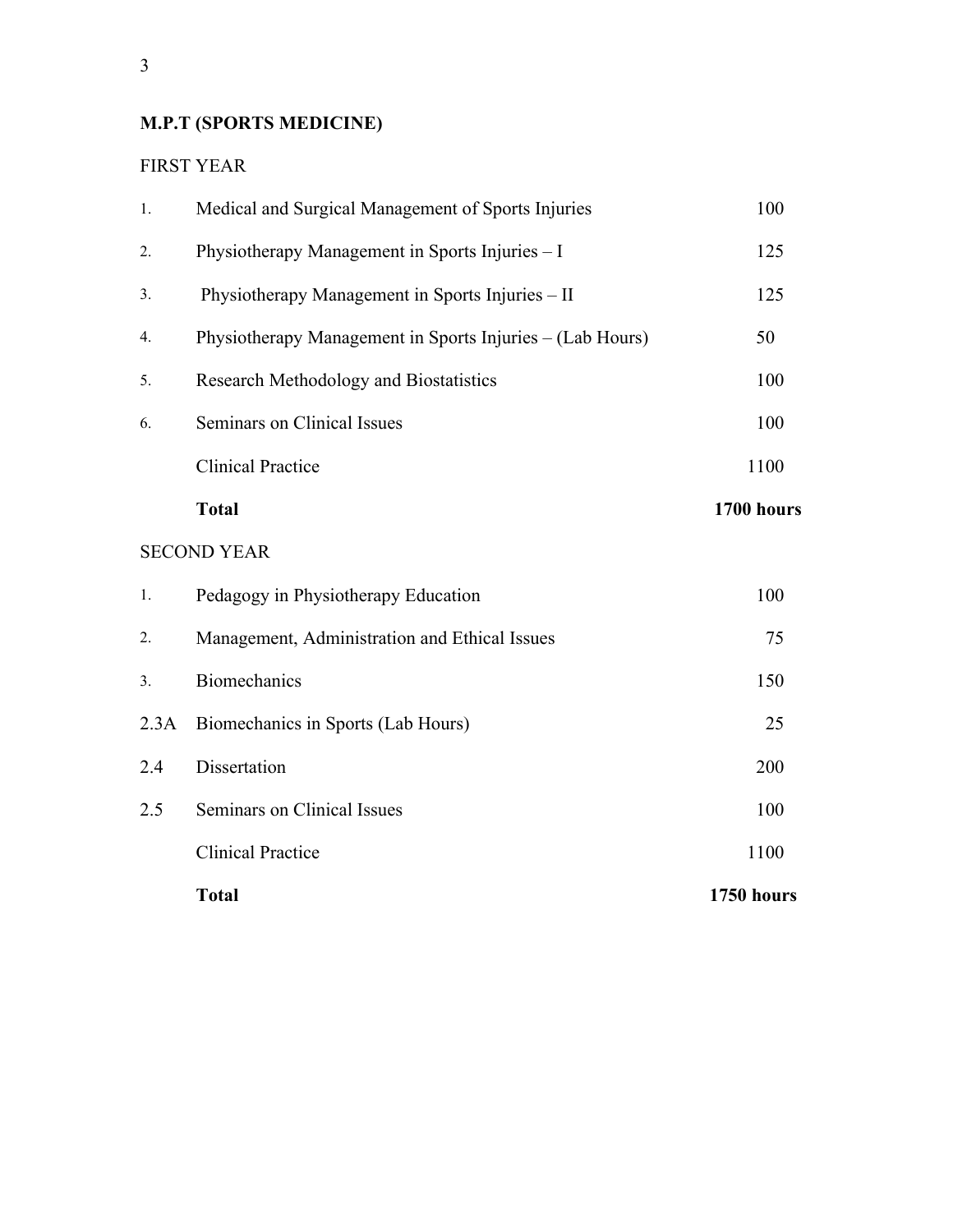## **M.P.T (SPORTS MEDICINE)**

#### FIRST YEAR

|      | <b>Total</b>                                              | 1750 hours |
|------|-----------------------------------------------------------|------------|
|      | <b>Clinical Practice</b>                                  | 1100       |
| 2.5  | Seminars on Clinical Issues                               | 100        |
| 2.4  | Dissertation                                              | 200        |
| 2.3A | Biomechanics in Sports (Lab Hours)                        | 25         |
| 3.   | <b>Biomechanics</b>                                       | 150        |
| 2.   | Management, Administration and Ethical Issues             | 75         |
| 1.   | Pedagogy in Physiotherapy Education                       | 100        |
|      | <b>SECOND YEAR</b>                                        |            |
|      | <b>Total</b>                                              | 1700 hours |
|      | <b>Clinical Practice</b>                                  | 1100       |
| 6.   | Seminars on Clinical Issues                               | 100        |
| 5.   | Research Methodology and Biostatistics                    | 100        |
| 4.   | Physiotherapy Management in Sports Injuries – (Lab Hours) | 50         |
| 3.   | Physiotherapy Management in Sports Injuries - II          | 125        |
| 2.   | Physiotherapy Management in Sports Injuries - I           | 125        |
| 1.   | Medical and Surgical Management of Sports Injuries        | 100        |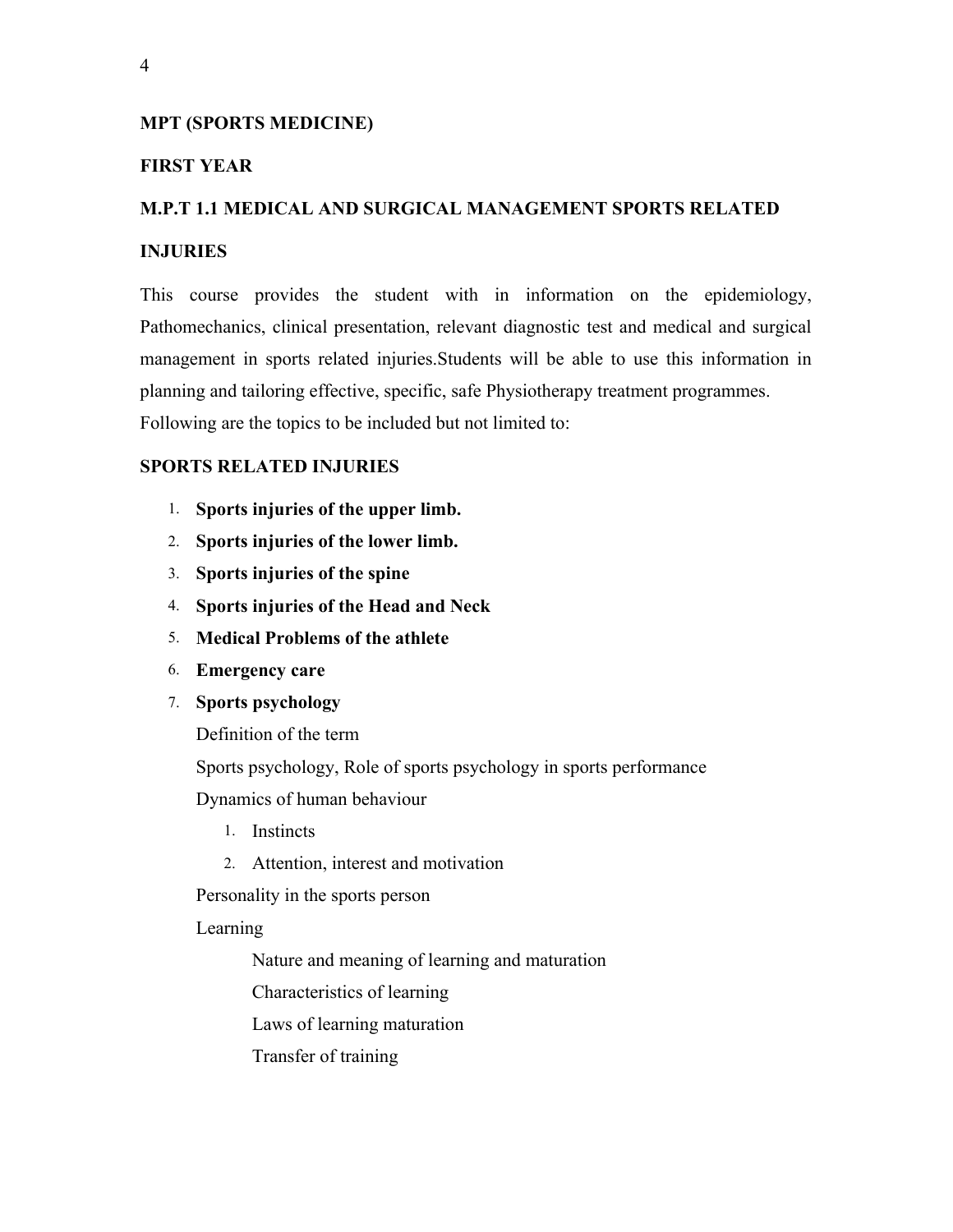#### **MPT (SPORTS MEDICINE)**

#### **FIRST YEAR**

#### **M.P.T 1.1 MEDICAL AND SURGICAL MANAGEMENT SPORTS RELATED**

#### **INJURIES**

This course provides the student with in information on the epidemiology, Pathomechanics, clinical presentation, relevant diagnostic test and medical and surgical management in sports related injuries.Students will be able to use this information in planning and tailoring effective, specific, safe Physiotherapy treatment programmes. Following are the topics to be included but not limited to:

#### **SPORTS RELATED INJURIES**

- 1. **Sports injuries of the upper limb.**
- 2. **Sports injuries of the lower limb.**
- 3. **Sports injuries of the spine**
- 4. **Sports injuries of the Head and Neck**
- 5. **Medical Problems of the athlete**
- 6. **Emergency care**
- 7. **Sports psychology**

Definition of the term

Sports psychology, Role of sports psychology in sports performance

Dynamics of human behaviour

- 1. Instincts
- 2. Attention, interest and motivation

Personality in the sports person

Learning

Nature and meaning of learning and maturation

Characteristics of learning

Laws of learning maturation

Transfer of training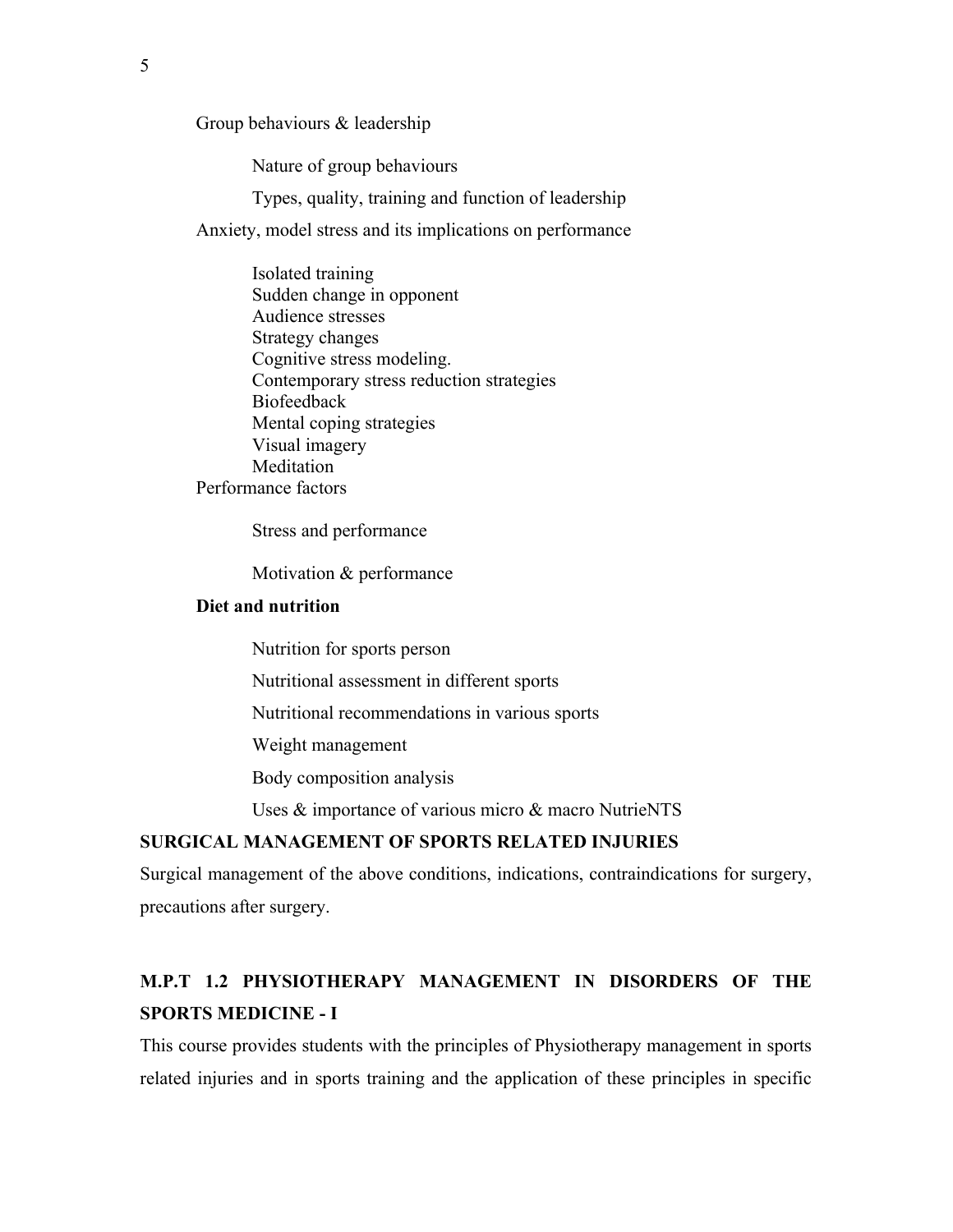Group behaviours & leadership

Nature of group behaviours

Types, quality, training and function of leadership

Anxiety, model stress and its implications on performance

Isolated training Sudden change in opponent Audience stresses Strategy changes Cognitive stress modeling. Contemporary stress reduction strategies Biofeedback Mental coping strategies Visual imagery Meditation Performance factors

Stress and performance

Motivation & performance

#### **Diet and nutrition**

Nutrition for sports person

Nutritional assessment in different sports

Nutritional recommendations in various sports

Weight management

Body composition analysis

Uses & importance of various micro & macro NutrieNTS

#### **SURGICAL MANAGEMENT OF SPORTS RELATED INJURIES**

Surgical management of the above conditions, indications, contraindications for surgery, precautions after surgery.

#### **M.P.T 1.2 PHYSIOTHERAPY MANAGEMENT IN DISORDERS OF THE SPORTS MEDICINE - I**

This course provides students with the principles of Physiotherapy management in sports related injuries and in sports training and the application of these principles in specific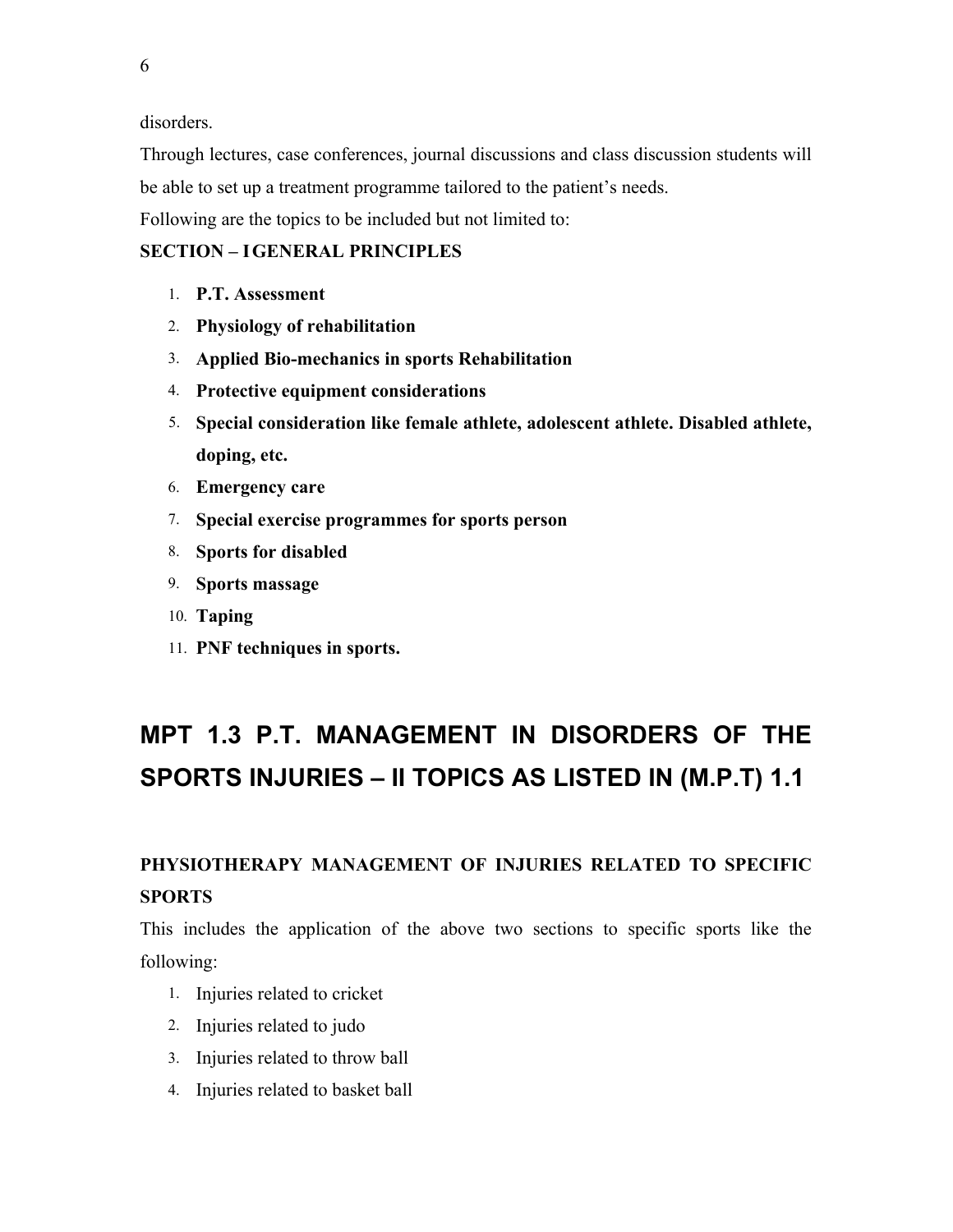6

disorders.

Through lectures, case conferences, journal discussions and class discussion students will be able to set up a treatment programme tailored to the patient's needs. Following are the topics to be included but not limited to:

#### **SECTION – IGENERAL PRINCIPLES**

- 1. **P.T. Assessment**
- 2. **Physiology of rehabilitation**
- 3. **Applied Bio-mechanics in sports Rehabilitation**
- 4. **Protective equipment considerations**
- 5. **Special consideration like female athlete, adolescent athlete. Disabled athlete, doping, etc.**
- 6. **Emergency care**
- 7. **Special exercise programmes for sports person**
- 8. **Sports for disabled**
- 9. **Sports massage**
- 10. **Taping**
- 11. **PNF techniques in sports.**

# **MPT 1.3 P.T. MANAGEMENT IN DISORDERS OF THE SPORTS INJURIES – II TOPICS AS LISTED IN (M.P.T) 1.1**

## **PHYSIOTHERAPY MANAGEMENT OF INJURIES RELATED TO SPECIFIC SPORTS**

This includes the application of the above two sections to specific sports like the following:

- 1. Injuries related to cricket
- 2. Injuries related to judo
- 3. Injuries related to throw ball
- 4. Injuries related to basket ball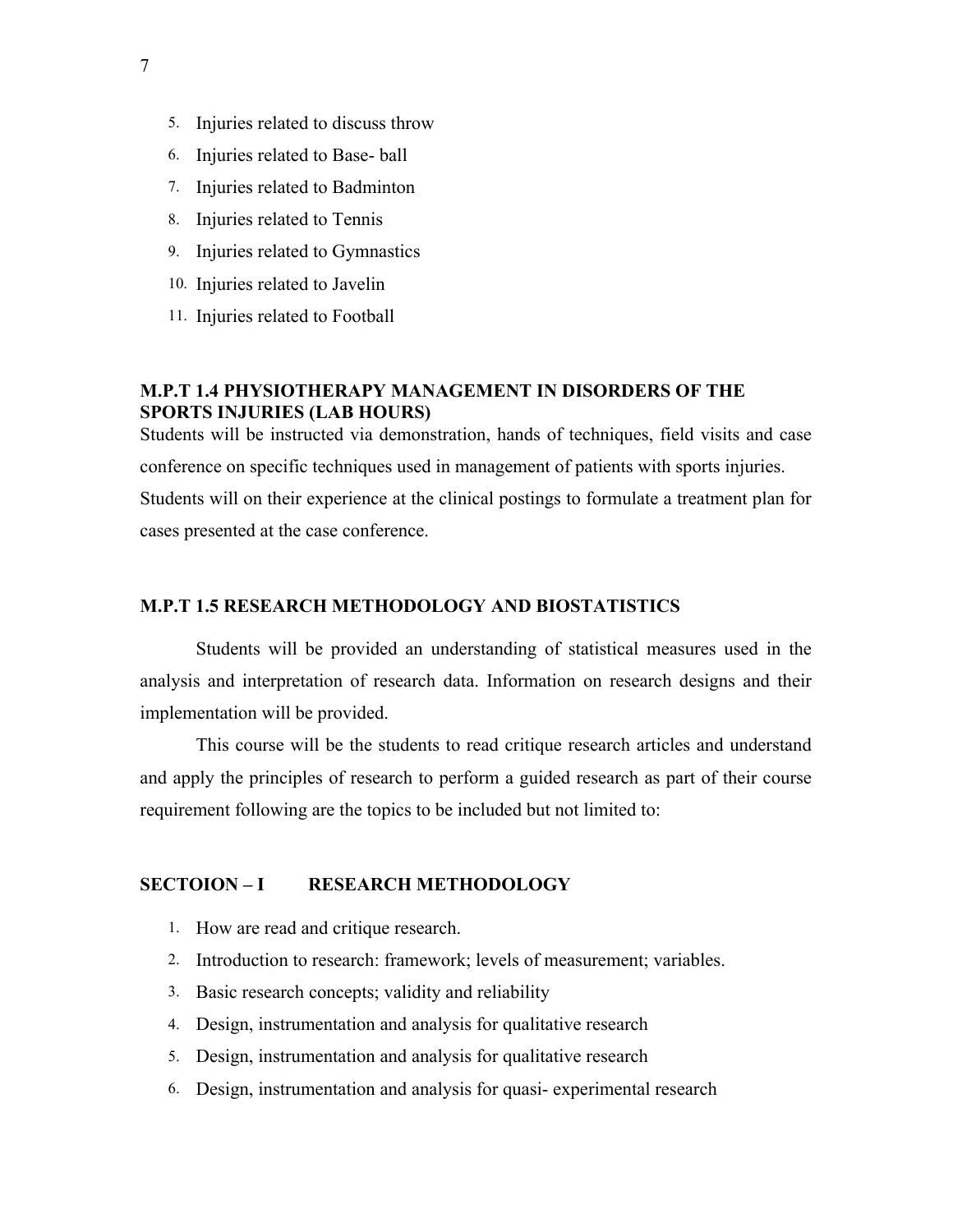- 5. Injuries related to discuss throw
- 6. Injuries related to Base- ball
- 7. Injuries related to Badminton
- 8. Injuries related to Tennis
- 9. Injuries related to Gymnastics
- 10. Injuries related to Javelin
- 11. Injuries related to Football

#### **M.P.T 1.4 PHYSIOTHERAPY MANAGEMENT IN DISORDERS OF THE SPORTS INJURIES (LAB HOURS)**

Students will be instructed via demonstration, hands of techniques, field visits and case conference on specific techniques used in management of patients with sports injuries. Students will on their experience at the clinical postings to formulate a treatment plan for cases presented at the case conference.

#### **M.P.T 1.5 RESEARCH METHODOLOGY AND BIOSTATISTICS**

Students will be provided an understanding of statistical measures used in the analysis and interpretation of research data. Information on research designs and their implementation will be provided.

This course will be the students to read critique research articles and understand and apply the principles of research to perform a guided research as part of their course requirement following are the topics to be included but not limited to:

#### **SECTOION – I RESEARCH METHODOLOGY**

- 1. How are read and critique research.
- 2. Introduction to research: framework; levels of measurement; variables.
- 3. Basic research concepts; validity and reliability
- 4. Design, instrumentation and analysis for qualitative research
- 5. Design, instrumentation and analysis for qualitative research
- 6. Design, instrumentation and analysis for quasi- experimental research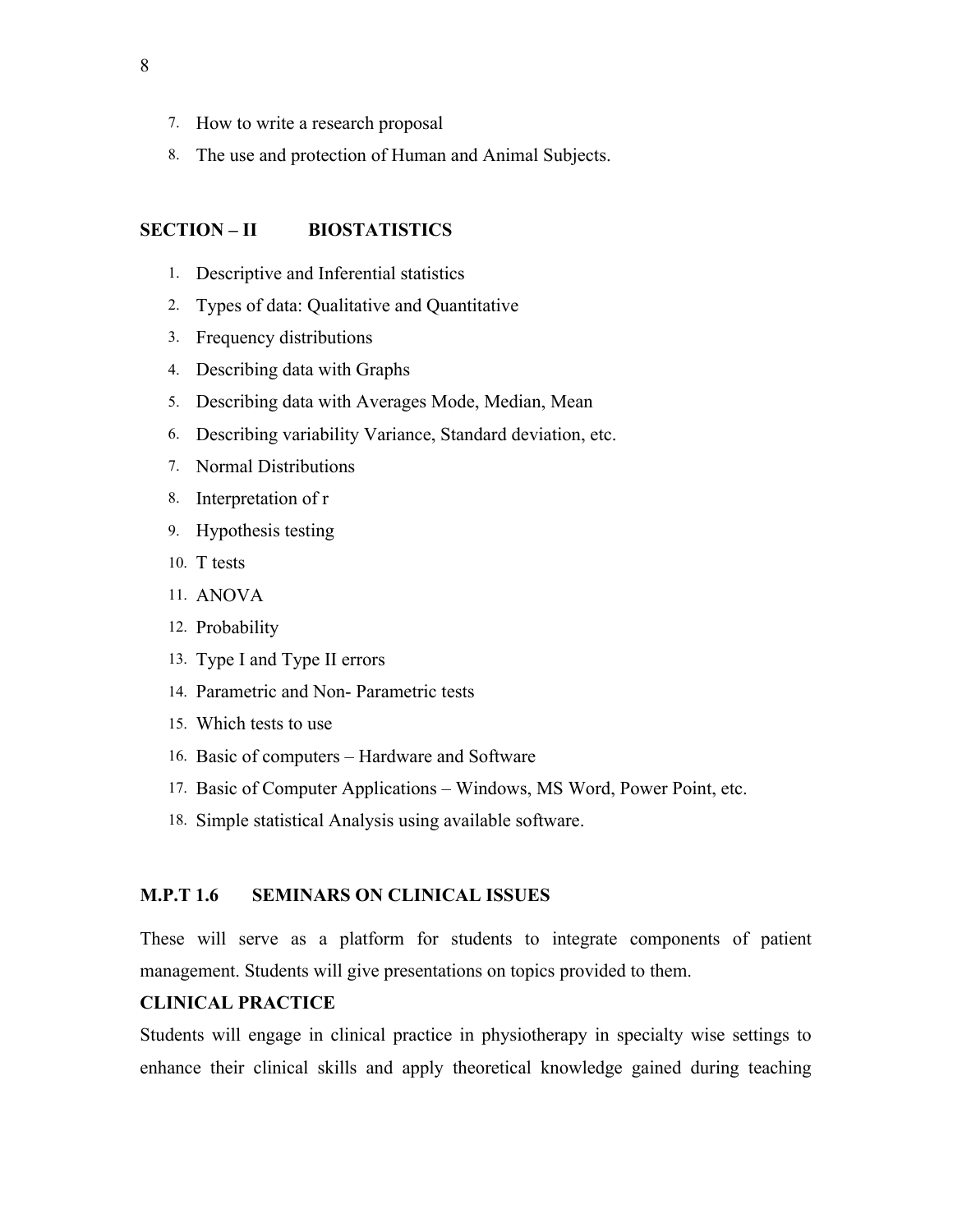- 7. How to write a research proposal
- 8. The use and protection of Human and Animal Subjects.

#### **SECTION – II BIOSTATISTICS**

- 1. Descriptive and Inferential statistics
- 2. Types of data: Qualitative and Quantitative
- 3. Frequency distributions
- 4. Describing data with Graphs
- 5. Describing data with Averages Mode, Median, Mean
- 6. Describing variability Variance, Standard deviation, etc.
- 7. Normal Distributions
- 8. Interpretation of r
- 9. Hypothesis testing
- 10. T tests
- 11. ANOVA
- 12. Probability
- 13. Type I and Type II errors
- 14. Parametric and Non- Parametric tests
- 15. Which tests to use
- 16. Basic of computers Hardware and Software
- 17. Basic of Computer Applications Windows, MS Word, Power Point, etc.
- 18. Simple statistical Analysis using available software.

#### **M.P.T 1.6 SEMINARS ON CLINICAL ISSUES**

These will serve as a platform for students to integrate components of patient management. Students will give presentations on topics provided to them.

#### **CLINICAL PRACTICE**

Students will engage in clinical practice in physiotherapy in specialty wise settings to enhance their clinical skills and apply theoretical knowledge gained during teaching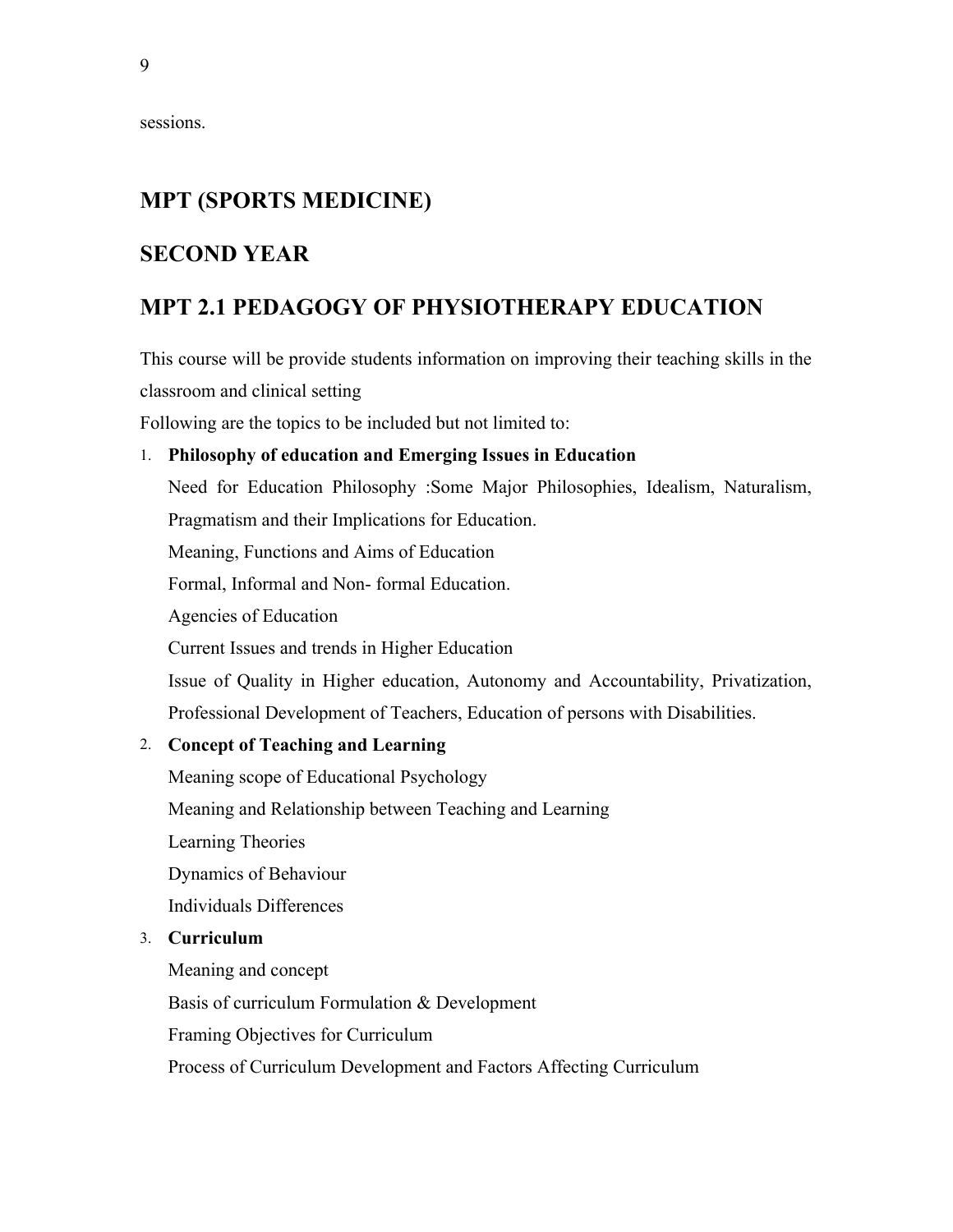sessions.

## **MPT (SPORTS MEDICINE)**

#### **SECOND YEAR**

### **MPT 2.1 PEDAGOGY OF PHYSIOTHERAPY EDUCATION**

This course will be provide students information on improving their teaching skills in the classroom and clinical setting

Following are the topics to be included but not limited to:

#### 1. **Philosophy of education and Emerging Issues in Education**

Need for Education Philosophy :Some Major Philosophies, Idealism, Naturalism, Pragmatism and their Implications for Education.

Meaning, Functions and Aims of Education

Formal, Informal and Non- formal Education.

Agencies of Education

Current Issues and trends in Higher Education

Issue of Quality in Higher education, Autonomy and Accountability, Privatization, Professional Development of Teachers, Education of persons with Disabilities.

#### 2. **Concept of Teaching and Learning**

Meaning scope of Educational Psychology

Meaning and Relationship between Teaching and Learning

Learning Theories

Dynamics of Behaviour

Individuals Differences

#### 3. **Curriculum**

Meaning and concept Basis of curriculum Formulation & Development Framing Objectives for Curriculum

Process of Curriculum Development and Factors Affecting Curriculum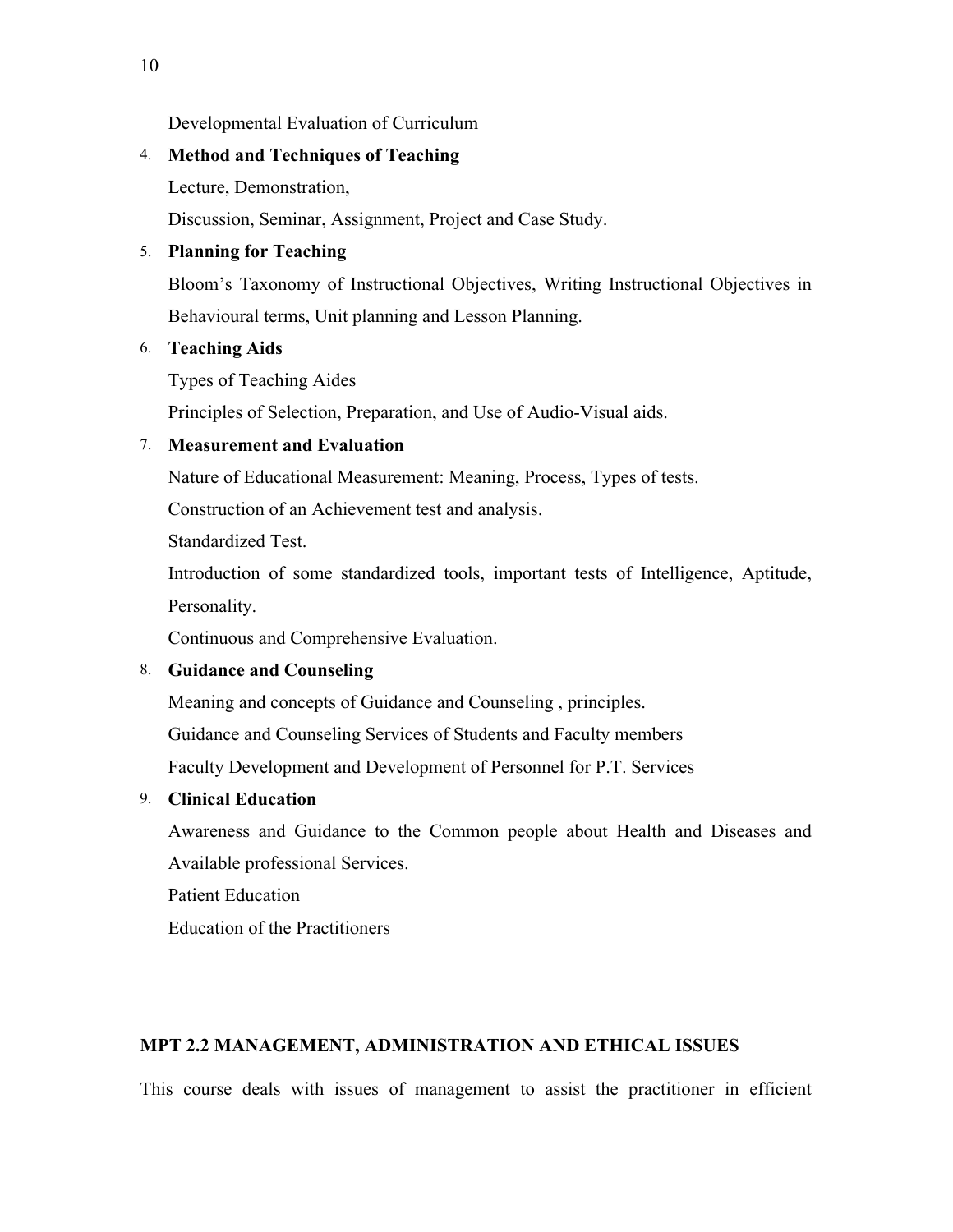Developmental Evaluation of Curriculum

#### 4. **Method and Techniques of Teaching**

Lecture, Demonstration,

Discussion, Seminar, Assignment, Project and Case Study.

#### 5. **Planning for Teaching**

Bloom's Taxonomy of Instructional Objectives, Writing Instructional Objectives in Behavioural terms, Unit planning and Lesson Planning.

#### 6. **Teaching Aids**

Types of Teaching Aides

Principles of Selection, Preparation, and Use of Audio-Visual aids.

#### 7. **Measurement and Evaluation**

Nature of Educational Measurement: Meaning, Process, Types of tests.

Construction of an Achievement test and analysis.

Standardized Test.

Introduction of some standardized tools, important tests of Intelligence, Aptitude, Personality.

Continuous and Comprehensive Evaluation.

#### 8. **Guidance and Counseling**

Meaning and concepts of Guidance and Counseling , principles.

Guidance and Counseling Services of Students and Faculty members

Faculty Development and Development of Personnel for P.T. Services

#### 9. **Clinical Education**

Awareness and Guidance to the Common people about Health and Diseases and Available professional Services.

Patient Education

Education of the Practitioners

#### **MPT 2.2 MANAGEMENT, ADMINISTRATION AND ETHICAL ISSUES**

This course deals with issues of management to assist the practitioner in efficient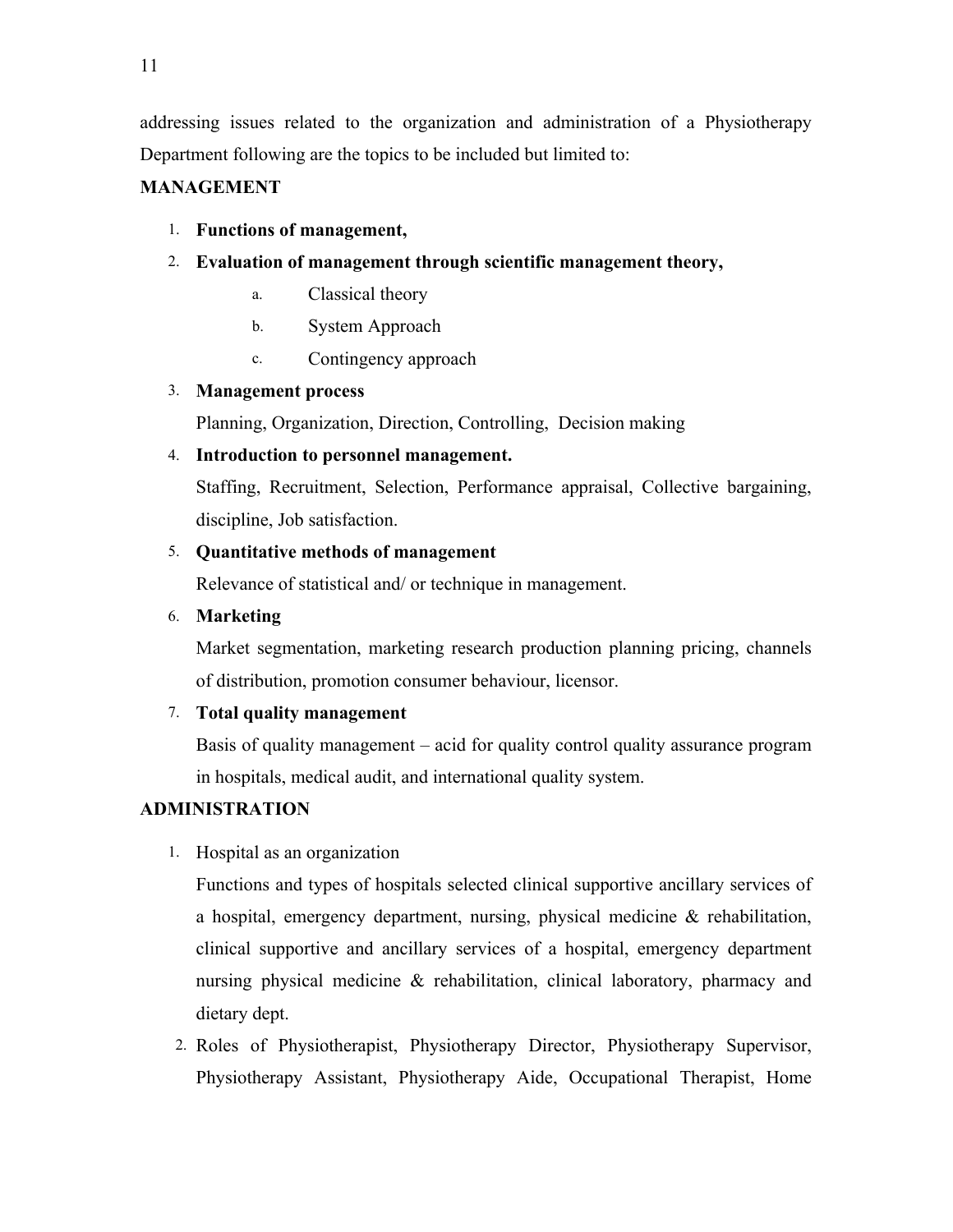addressing issues related to the organization and administration of a Physiotherapy Department following are the topics to be included but limited to:

#### **MANAGEMENT**

#### 1. **Functions of management,**

- 2. **Evaluation of management through scientific management theory,** 
	- a. Classical theory
	- b. System Approach
	- c. Contingency approach

#### 3. **Management process**

Planning, Organization, Direction, Controlling, Decision making

#### 4. **Introduction to personnel management.**

Staffing, Recruitment, Selection, Performance appraisal, Collective bargaining, discipline, Job satisfaction.

#### 5. **Quantitative methods of management**

Relevance of statistical and/ or technique in management.

6. **Marketing** 

Market segmentation, marketing research production planning pricing, channels of distribution, promotion consumer behaviour, licensor.

#### 7. **Total quality management**

Basis of quality management – acid for quality control quality assurance program in hospitals, medical audit, and international quality system.

#### **ADMINISTRATION**

1. Hospital as an organization

Functions and types of hospitals selected clinical supportive ancillary services of a hospital, emergency department, nursing, physical medicine & rehabilitation, clinical supportive and ancillary services of a hospital, emergency department nursing physical medicine & rehabilitation, clinical laboratory, pharmacy and dietary dept.

2. Roles of Physiotherapist, Physiotherapy Director, Physiotherapy Supervisor, Physiotherapy Assistant, Physiotherapy Aide, Occupational Therapist, Home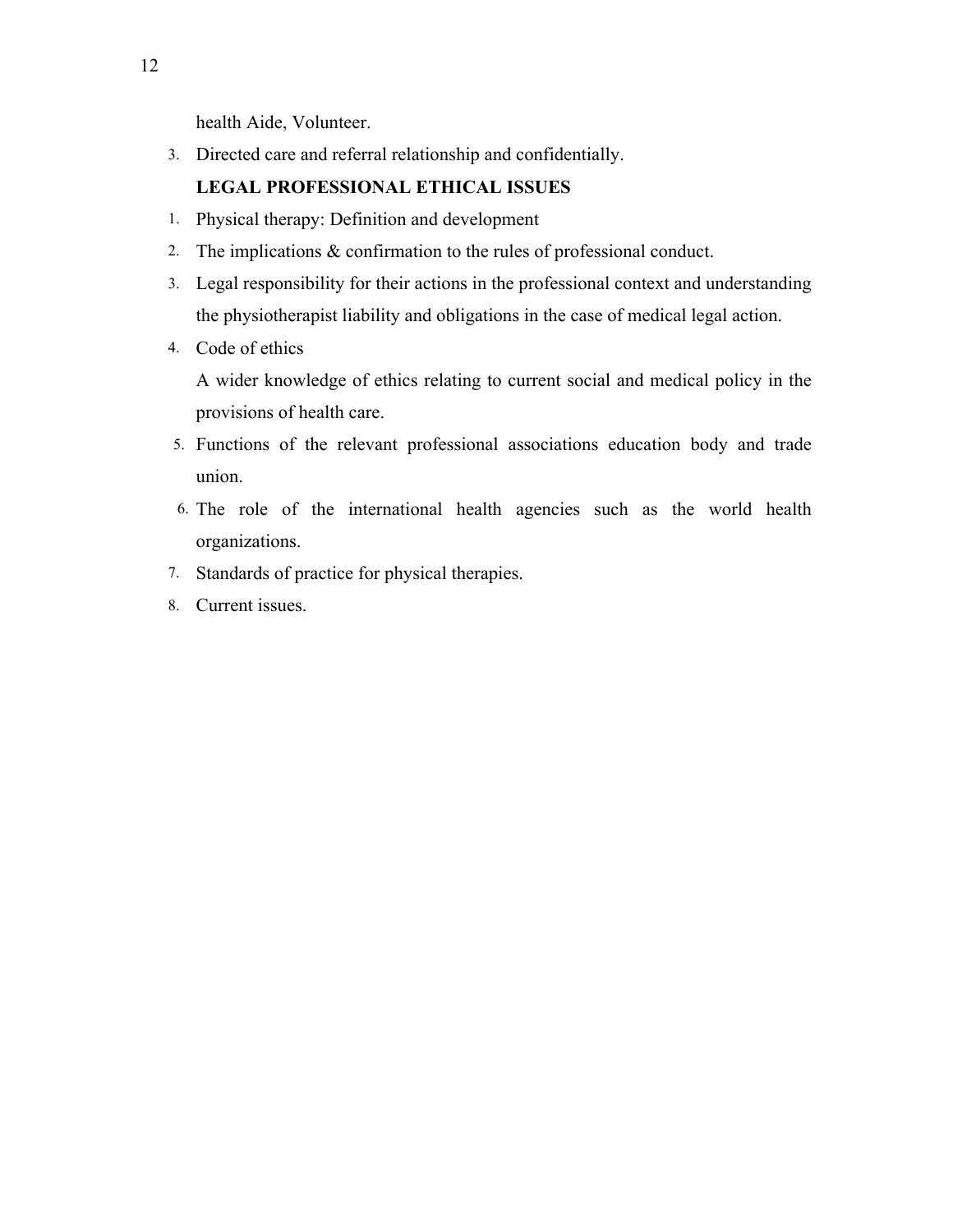health Aide, Volunteer.

3. Directed care and referral relationship and confidentially.

#### **LEGAL PROFESSIONAL ETHICAL ISSUES**

- 1. Physical therapy: Definition and development
- 2. The implications & confirmation to the rules of professional conduct.
- 3. Legal responsibility for their actions in the professional context and understanding the physiotherapist liability and obligations in the case of medical legal action.
- 4. Code of ethics

A wider knowledge of ethics relating to current social and medical policy in the provisions of health care.

- 5. Functions of the relevant professional associations education body and trade union.
- 6. The role of the international health agencies such as the world health organizations.
- 7. Standards of practice for physical therapies.
- 8. Current issues.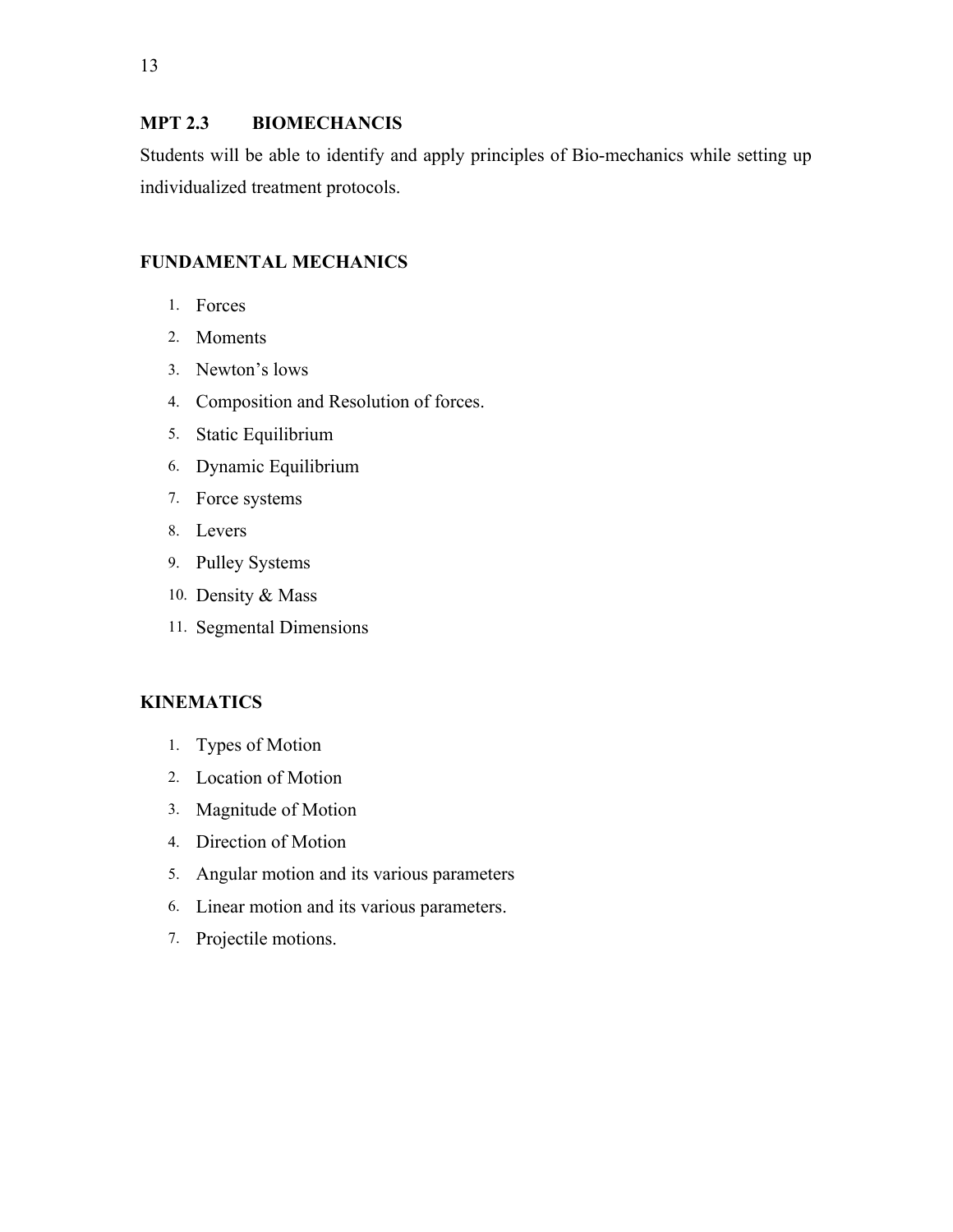#### **MPT 2.3 BIOMECHANCIS**

Students will be able to identify and apply principles of Bio-mechanics while setting up individualized treatment protocols.

#### **FUNDAMENTAL MECHANICS**

- 1. Forces
- 2. Moments
- 3. Newton's lows
- 4. Composition and Resolution of forces.
- 5. Static Equilibrium
- 6. Dynamic Equilibrium
- 7. Force systems
- 8. Levers
- 9. Pulley Systems
- 10. Density & Mass
- 11. Segmental Dimensions

#### **KINEMATICS**

- 1. Types of Motion
- 2. Location of Motion
- 3. Magnitude of Motion
- 4. Direction of Motion
- 5. Angular motion and its various parameters
- 6. Linear motion and its various parameters.
- 7. Projectile motions.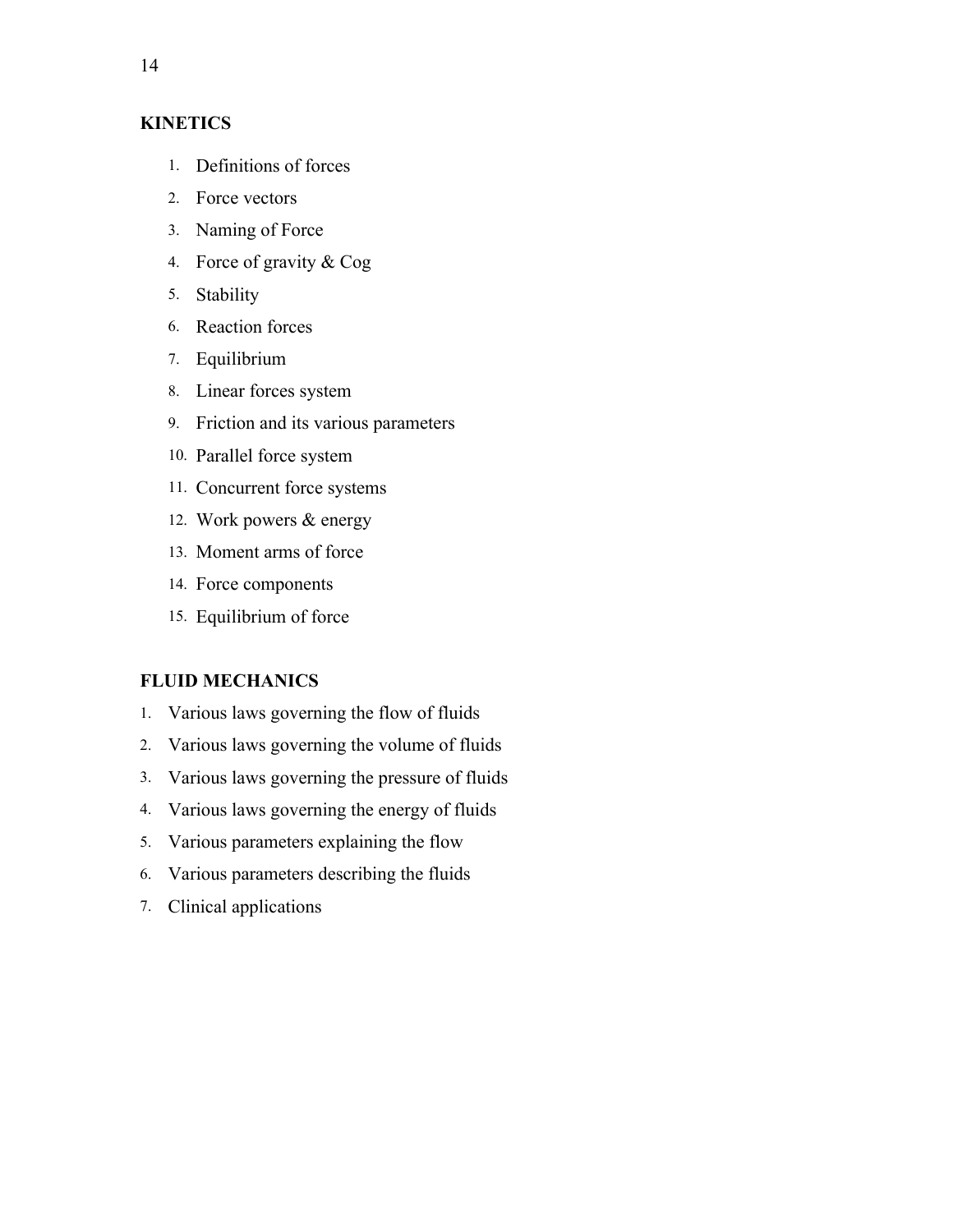#### **KINETICS**

- 1. Definitions of forces
- 2. Force vectors
- 3. Naming of Force
- 4. Force of gravity & Cog
- 5. Stability
- 6. Reaction forces
- 7. Equilibrium
- 8. Linear forces system
- 9. Friction and its various parameters
- 10. Parallel force system
- 11. Concurrent force systems
- 12. Work powers & energy
- 13. Moment arms of force
- 14. Force components
- 15. Equilibrium of force

#### **FLUID MECHANICS**

- 1. Various laws governing the flow of fluids
- 2. Various laws governing the volume of fluids
- 3. Various laws governing the pressure of fluids
- 4. Various laws governing the energy of fluids
- 5. Various parameters explaining the flow
- 6. Various parameters describing the fluids
- 7. Clinical applications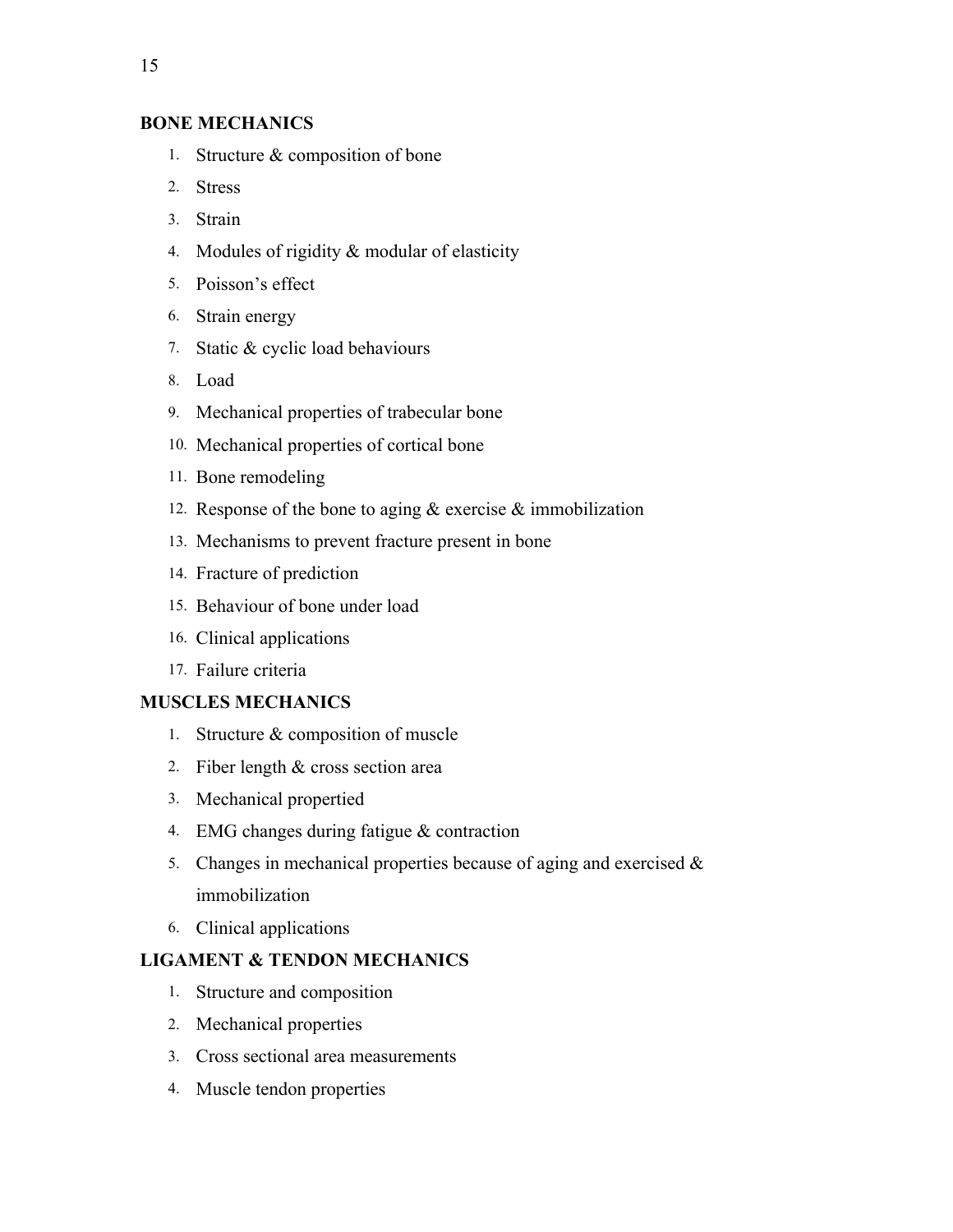#### **BONE MECHANICS**

- 1. Structure & composition of bone
- 2. Stress
- 3. Strain
- 4. Modules of rigidity & modular of elasticity
- 5. Poisson's effect
- 6. Strain energy
- 7. Static & cyclic load behaviours
- 8. Load
- 9. Mechanical properties of trabecular bone
- 10. Mechanical properties of cortical bone
- 11. Bone remodeling
- 12. Response of the bone to aging & exercise & immobilization
- 13. Mechanisms to prevent fracture present in bone
- 14. Fracture of prediction
- 15. Behaviour of bone under load
- 16. Clinical applications
- 17. Failure criteria

#### **MUSCLES MECHANICS**

- 1. Structure & composition of muscle
- 2. Fiber length & cross section area
- 3. Mechanical propertied
- 4. EMG changes during fatigue & contraction
- 5. Changes in mechanical properties because of aging and exercised  $\&$ immobilization
- 6. Clinical applications

#### **LIGAMENT & TENDON MECHANICS**

- 1. Structure and composition
- 2. Mechanical properties
- 3. Cross sectional area measurements
- 4. Muscle tendon properties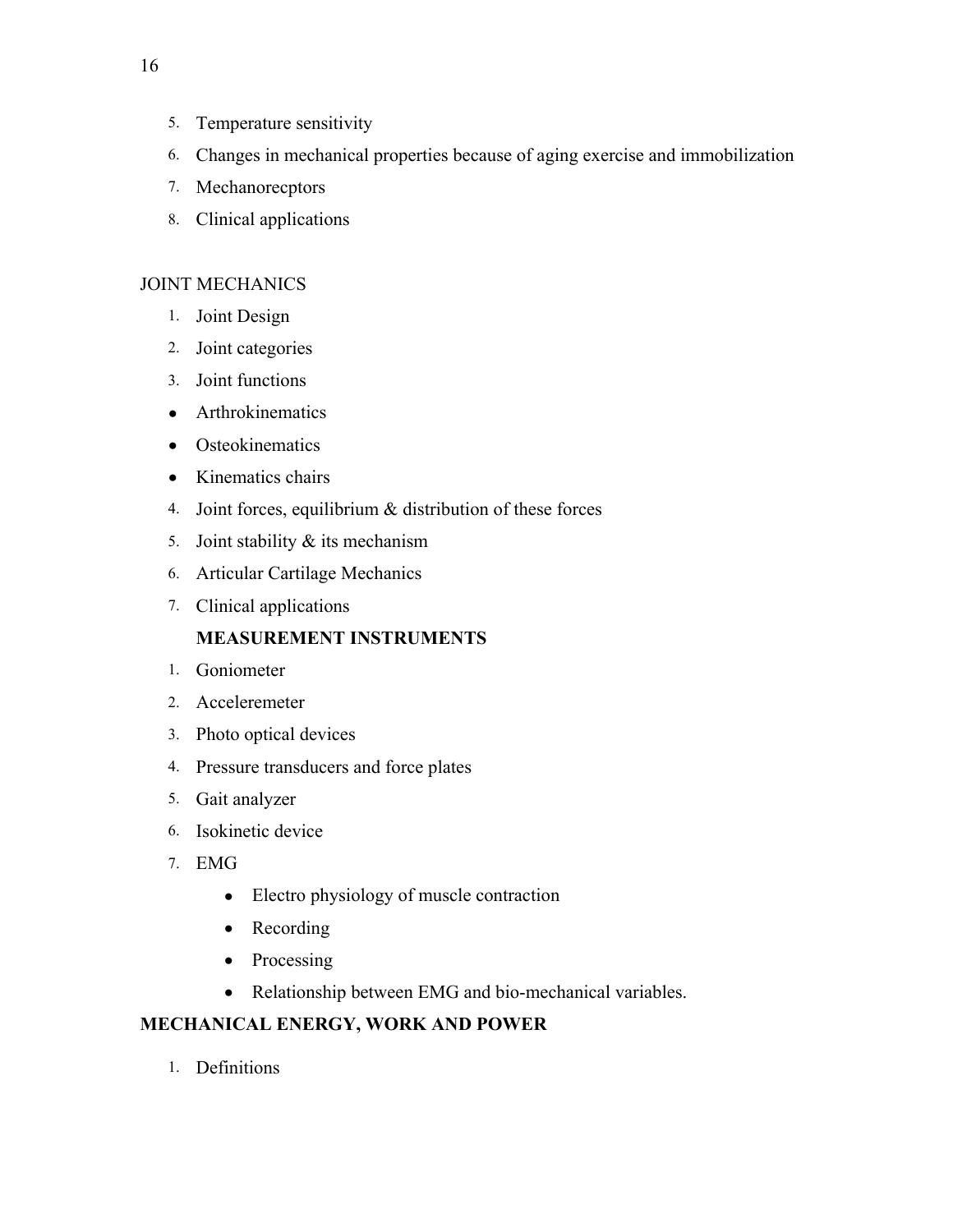- 5. Temperature sensitivity
- 6. Changes in mechanical properties because of aging exercise and immobilization
- 7. Mechanorecptors
- 8. Clinical applications

#### JOINT MECHANICS

- 1. Joint Design
- 2. Joint categories
- 3. Joint functions
- Arthrokinematics
- Osteokinematics
- Kinematics chairs
- 4. Joint forces, equilibrium & distribution of these forces
- 5. Joint stability & its mechanism
- 6. Articular Cartilage Mechanics
- 7. Clinical applications

#### **MEASUREMENT INSTRUMENTS**

- 1. Goniometer
- 2. Acceleremeter
- 3. Photo optical devices
- 4. Pressure transducers and force plates
- 5. Gait analyzer
- 6. Isokinetic device
- 7. EMG
	- Electro physiology of muscle contraction
	- Recording
	- Processing
	- Relationship between EMG and bio-mechanical variables.

#### **MECHANICAL ENERGY, WORK AND POWER**

1. Definitions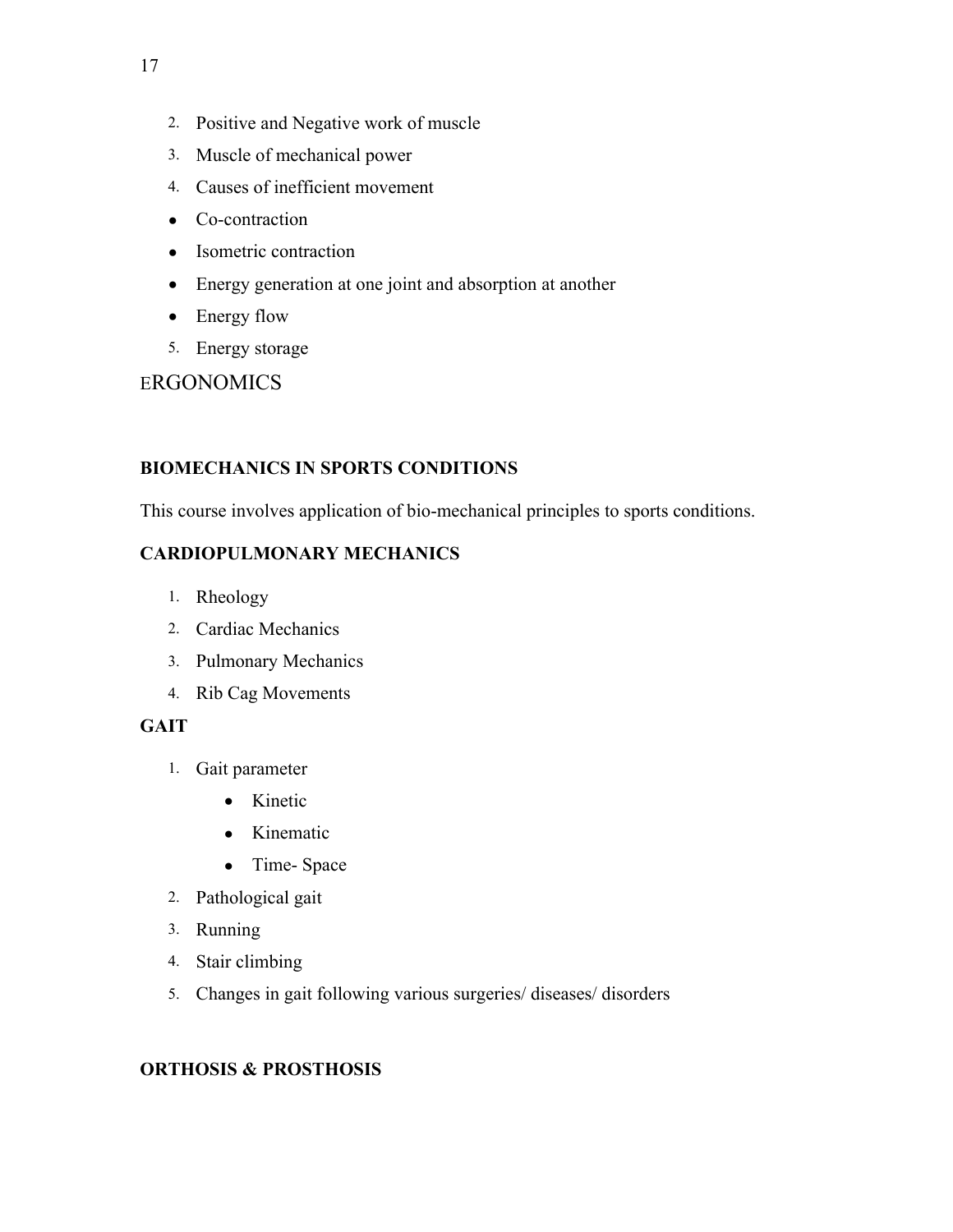- 3. Muscle of mechanical power
- 4. Causes of inefficient movement
- Co-contraction
- Isometric contraction
- Energy generation at one joint and absorption at another
- Energy flow
- 5. Energy storage

**ERGONOMICS** 

#### **BIOMECHANICS IN SPORTS CONDITIONS**

This course involves application of bio-mechanical principles to sports conditions.

#### **CARDIOPULMONARY MECHANICS**

- 1. Rheology
- 2. Cardiac Mechanics
- 3. Pulmonary Mechanics
- 4. Rib Cag Movements

#### **GAIT**

- 1. Gait parameter
	- Kinetic
	- Kinematic
	- Time- Space
- 2. Pathological gait
- 3. Running
- 4. Stair climbing
- 5. Changes in gait following various surgeries/ diseases/ disorders

#### **ORTHOSIS & PROSTHOSIS**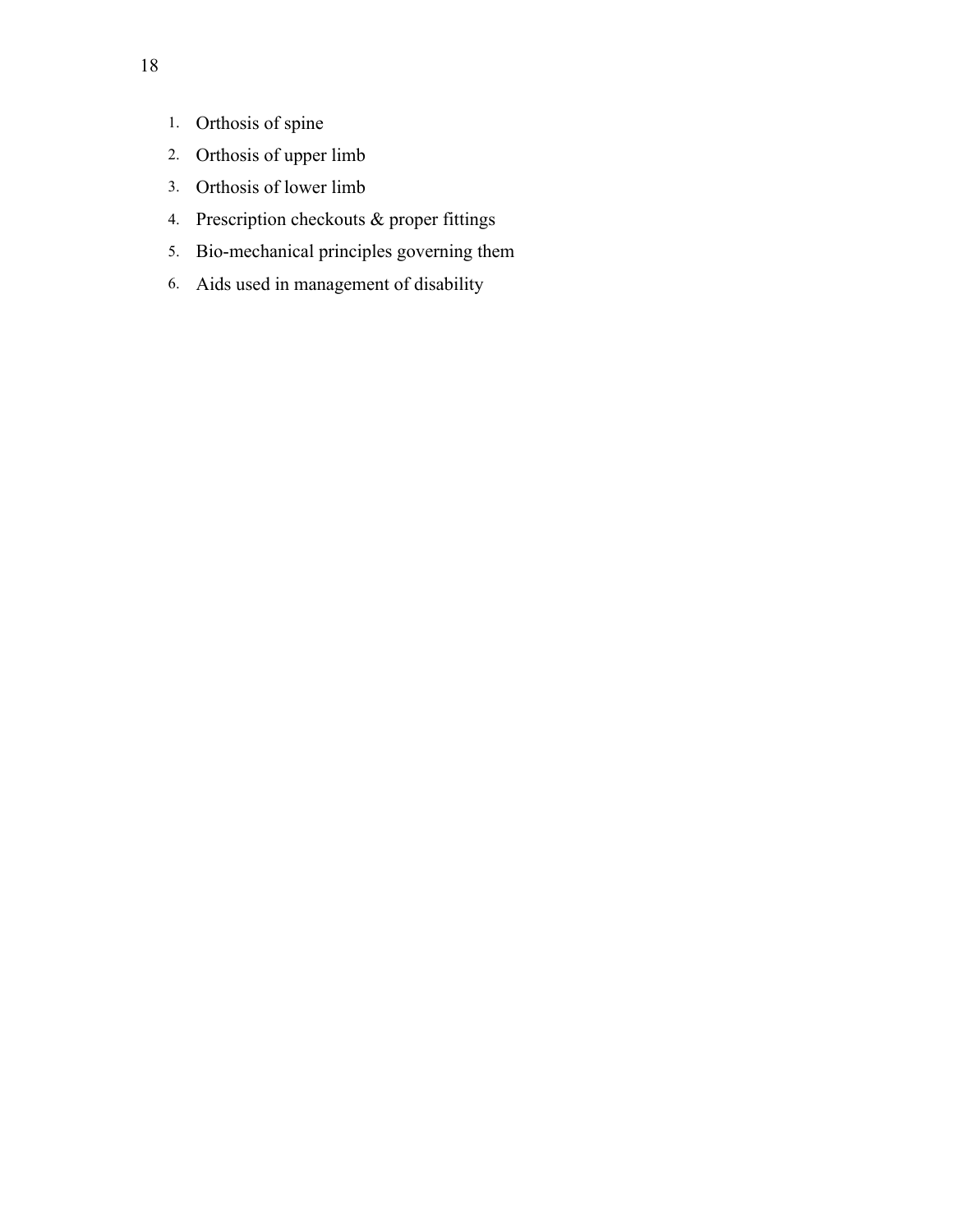- 1. Orthosis of spine
- 2. Orthosis of upper limb
- 3. Orthosis of lower limb
- 4. Prescription checkouts & proper fittings
- 5. Bio-mechanical principles governing them
- 6. Aids used in management of disability